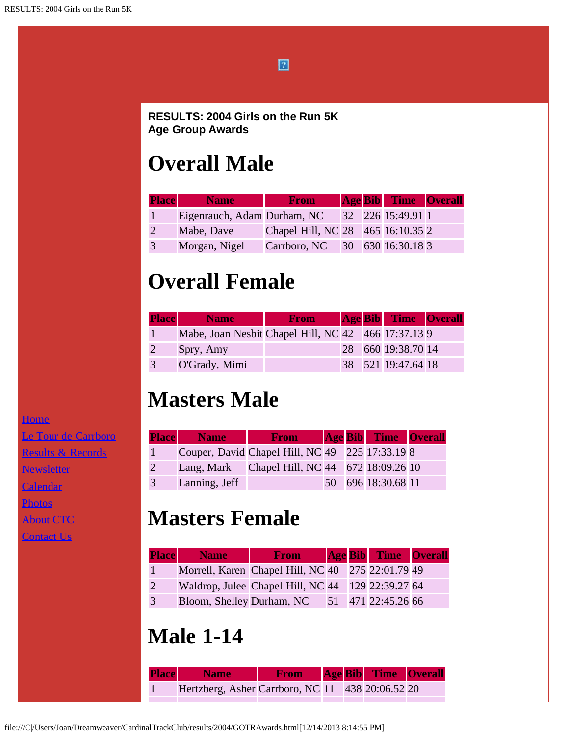

#### **RESULTS: 2004 Girls on the Run 5K Age Group Awards**

# **Overall Male**

| <b>Place</b> | <b>Name</b>                 | <b>From</b>                       |  | <b>Age Bib</b> Time Overall |  |
|--------------|-----------------------------|-----------------------------------|--|-----------------------------|--|
|              | Eigenrauch, Adam Durham, NC |                                   |  | 32 226 15:49.91 1           |  |
|              | Mabe, Dave                  | Chapel Hill, NC 28 465 16:10.35 2 |  |                             |  |
| 3            | Morgan, Nigel               | Carrboro, NC 30 630 16:30.18 3    |  |                             |  |

## **Overall Female**

| <b>Place</b> | <b>Name</b>                                         | <b>From</b> |  | <b>Age Bib</b> Time Overall |  |
|--------------|-----------------------------------------------------|-------------|--|-----------------------------|--|
|              | Mabe, Joan Nesbit Chapel Hill, NC 42 466 17:37.13 9 |             |  |                             |  |
|              | Spry, Amy                                           |             |  | 28 660 19:38.70 14          |  |
| 3            | O'Grady, Mimi                                       |             |  | 38 521 19:47.64 18          |  |

## **Masters Male**

|   | <b>Place</b> Name | <b>From</b>                                     |  | <b>Age Bib Time Overall</b> |  |
|---|-------------------|-------------------------------------------------|--|-----------------------------|--|
|   |                   | Couper, David Chapel Hill, NC 49 225 17:33.19 8 |  |                             |  |
| 2 |                   | Lang, Mark Chapel Hill, NC 44 672 18:09.26 10   |  |                             |  |
| 3 | Lanning, Jeff     |                                                 |  | 50 696 18:30.68 11          |  |

# **Masters Female**

|              | <b>Place</b> Name         | <b>From</b>                                       |  | <b>Age Bib</b> Time Overall |  |
|--------------|---------------------------|---------------------------------------------------|--|-----------------------------|--|
| $\mathbf{1}$ |                           | Morrell, Karen Chapel Hill, NC 40 275 22:01.79 49 |  |                             |  |
| 2            |                           | Waldrop, Julee Chapel Hill, NC 44 129 22:39.27 64 |  |                             |  |
| 3            | Bloom, Shelley Durham, NC |                                                   |  | 51 471 22:45.26 66          |  |

### **Male 1-14**

| <b>Place</b> Name                                | <b>Example 3 From Age Bib Time Overall</b> |  |  |
|--------------------------------------------------|--------------------------------------------|--|--|
| Hertzberg, Asher Carrboro, NC 11 438 20:06.52 20 |                                            |  |  |

**[Home](file:///home.html)** [Le Tour de Carrboro](file:///letourdecarrboro.html) [Results & Records](file:///results.html) **[Newsletter](file:///newsletterSignup.html) [Calendar](file:///page/page/8345191.htm)** 

[Photos](file:///photos.html)

**[About CTC](file:///about.html)** 

**[Contact Us](file:///contactUs.html)**